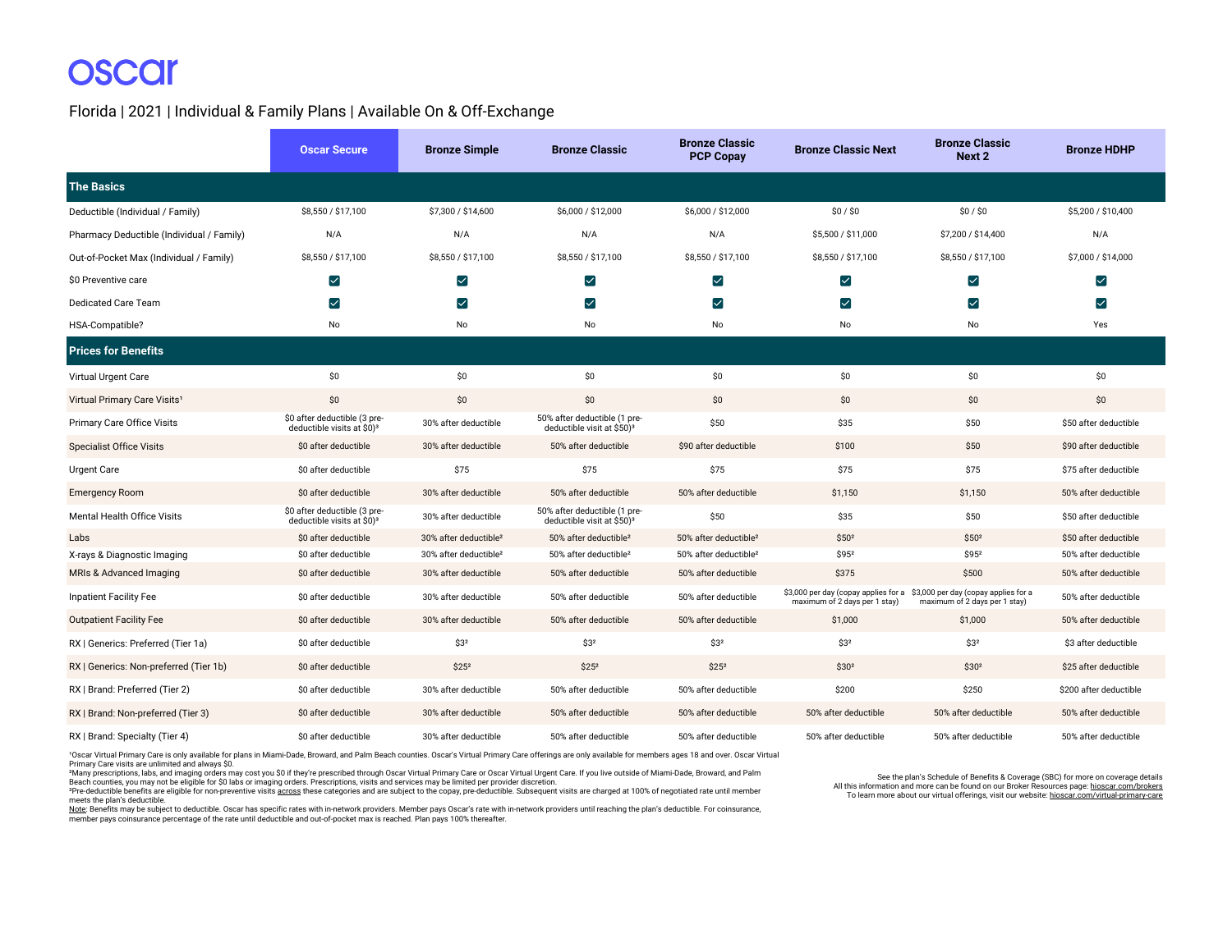#### Florida | 2021 | Individual & Family Plans | Available On & Off-Exchange

|                                           | <b>Oscar Secure</b>                                                    | <b>Bronze Simple</b>              | <b>Bronze Classic</b>                                                  | <b>Bronze Classic</b><br><b>PCP Copay</b> | <b>Bronze Classic Next</b>                                                                                 | <b>Bronze Classic</b><br>Next 2 | <b>Bronze HDHP</b>     |
|-------------------------------------------|------------------------------------------------------------------------|-----------------------------------|------------------------------------------------------------------------|-------------------------------------------|------------------------------------------------------------------------------------------------------------|---------------------------------|------------------------|
| <b>The Basics</b>                         |                                                                        |                                   |                                                                        |                                           |                                                                                                            |                                 |                        |
| Deductible (Individual / Family)          | \$8,550 / \$17,100                                                     | \$7,300 / \$14,600                | \$6,000 / \$12,000                                                     | \$6,000 / \$12,000                        | \$0/\$0                                                                                                    | \$0/\$0                         | \$5,200 / \$10,400     |
| Pharmacy Deductible (Individual / Family) | N/A                                                                    | N/A                               | N/A                                                                    | N/A                                       | \$5,500 / \$11,000                                                                                         | \$7,200 / \$14,400              | N/A                    |
| Out-of-Pocket Max (Individual / Family)   | \$8,550 / \$17,100                                                     | \$8,550 / \$17,100                | \$8,550 / \$17,100                                                     | \$8,550 / \$17,100                        | \$8,550 / \$17,100                                                                                         | \$8,550 / \$17,100              | \$7,000 / \$14,000     |
| \$0 Preventive care                       | ☑                                                                      | ☑                                 | $\blacktriangledown$                                                   | M                                         | ☑                                                                                                          | ☑                               | $\blacktriangledown$   |
| <b>Dedicated Care Team</b>                | ☑                                                                      | ☑                                 | ☑                                                                      | ☑                                         | ☑                                                                                                          | ☑                               | $\blacktriangledown$   |
| HSA-Compatible?                           | No                                                                     | No                                | No                                                                     | No                                        | No                                                                                                         | No                              | Yes                    |
| <b>Prices for Benefits</b>                |                                                                        |                                   |                                                                        |                                           |                                                                                                            |                                 |                        |
| Virtual Urgent Care                       | \$0                                                                    | \$0\$                             | \$0                                                                    | \$0                                       | \$0                                                                                                        | \$0                             | \$0                    |
| Virtual Primary Care Visits <sup>1</sup>  | \$0                                                                    | \$0                               | \$0                                                                    | \$0                                       | \$0                                                                                                        | \$0                             | \$0                    |
| Primary Care Office Visits                | \$0 after deductible (3 pre-<br>deductible visits at \$0) <sup>3</sup> | 30% after deductible              | 50% after deductible (1 pre-<br>deductible visit at \$50) <sup>3</sup> | \$50                                      | \$35                                                                                                       | \$50                            | \$50 after deductible  |
| <b>Specialist Office Visits</b>           | \$0 after deductible                                                   | 30% after deductible              | 50% after deductible                                                   | \$90 after deductible                     | \$100                                                                                                      | \$50                            | \$90 after deductible  |
| <b>Urgent Care</b>                        | \$0 after deductible                                                   | \$75                              | \$75                                                                   | \$75                                      | \$75                                                                                                       | \$75                            | \$75 after deductible  |
| <b>Emergency Room</b>                     | \$0 after deductible                                                   | 30% after deductible              | 50% after deductible                                                   | 50% after deductible                      | \$1,150                                                                                                    | \$1,150                         | 50% after deductible   |
| <b>Mental Health Office Visits</b>        | \$0 after deductible (3 pre-<br>deductible visits at \$0) <sup>3</sup> | 30% after deductible              | 50% after deductible (1 pre-<br>deductible visit at \$50) <sup>3</sup> | \$50                                      | \$35                                                                                                       | \$50                            | \$50 after deductible  |
| Labs                                      | \$0 after deductible                                                   | 30% after deductible <sup>2</sup> | 50% after deductible <sup>2</sup>                                      | 50% after deductible <sup>2</sup>         | \$502                                                                                                      | \$50 <sup>2</sup>               | \$50 after deductible  |
| X-rays & Diagnostic Imaging               | \$0 after deductible                                                   | 30% after deductible <sup>2</sup> | 50% after deductible <sup>2</sup>                                      | 50% after deductible <sup>2</sup>         | \$952                                                                                                      | \$952                           | 50% after deductible   |
| MRIs & Advanced Imaging                   | \$0 after deductible                                                   | 30% after deductible              | 50% after deductible                                                   | 50% after deductible                      | \$375                                                                                                      | \$500                           | 50% after deductible   |
| <b>Inpatient Facility Fee</b>             | \$0 after deductible                                                   | 30% after deductible              | 50% after deductible                                                   | 50% after deductible                      | \$3,000 per day (copay applies for a \$3,000 per day (copay applies for a<br>maximum of 2 days per 1 stay) | maximum of 2 days per 1 stay)   | 50% after deductible   |
| <b>Outpatient Facility Fee</b>            | \$0 after deductible                                                   | 30% after deductible              | 50% after deductible                                                   | 50% after deductible                      | \$1,000                                                                                                    | \$1,000                         | 50% after deductible   |
| RX   Generics: Preferred (Tier 1a)        | \$0 after deductible                                                   | \$3 <sup>2</sup>                  | \$3 <sup>2</sup>                                                       | \$3 <sup>2</sup>                          | \$3 <sup>2</sup>                                                                                           | \$3 <sup>2</sup>                | \$3 after deductible   |
| RX   Generics: Non-preferred (Tier 1b)    | \$0 after deductible                                                   | \$25 <sup>2</sup>                 | \$25 <sup>2</sup>                                                      | \$25 <sup>2</sup>                         | \$30 <sup>2</sup>                                                                                          | \$30 <sup>2</sup>               | \$25 after deductible  |
| RX   Brand: Preferred (Tier 2)            | \$0 after deductible                                                   | 30% after deductible              | 50% after deductible                                                   | 50% after deductible                      | \$200                                                                                                      | \$250                           | \$200 after deductible |
| RX   Brand: Non-preferred (Tier 3)        | \$0 after deductible                                                   | 30% after deductible              | 50% after deductible                                                   | 50% after deductible                      | 50% after deductible                                                                                       | 50% after deductible            | 50% after deductible   |
| RX   Brand: Specialty (Tier 4)            | \$0 after deductible                                                   | 30% after deductible              | 50% after deductible                                                   | 50% after deductible                      | 50% after deductible                                                                                       | 50% after deductible            | 50% after deductible   |

1Oscar Virtual Primary Care is only available for plans in Miami-Dade, Broward, and Palm Beach counties. Oscar's Virtual Primary Care offerings are only available for members ages 18 and over. Oscar Virtual Primary Care visits are unlimited and always \$0.

²Many prescriptions, labs, and imaging orders may cost you \$0 if they're prescribed through Oscar Virtual Primary Care or Oscar Virtual Urgent Care. If you live outside of Miami-Dade, Broward, and Palm Beach counties, you may not be eligible for \$0 labs or imaging orders. Prescriptions, visits and services may be limited per provider discretion.<br>\*Pre-deductible benefits are eligible for non-preventive visits <u>across</u> the

meets the plan's deductible.

<u>Note</u>: Benefits may be subject to deductible. Oscar has specific rates with in-network providers. Member pays Oscar's rate with in-network providers until reaching the plan's deductible. For coinsurance,<br>member pays coins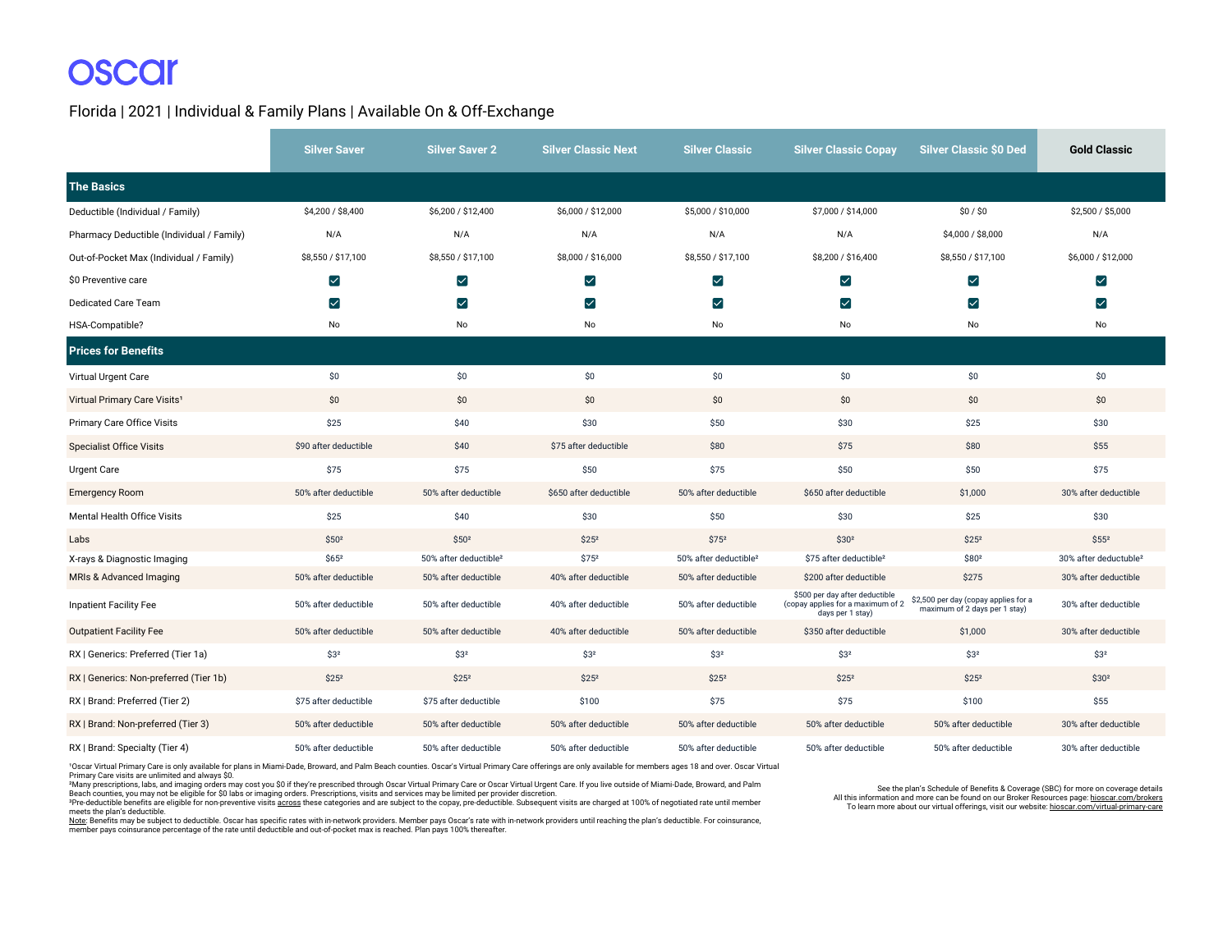#### Florida | 2021 | Individual & Family Plans | Available On & Off-Exchange

|                                           | <b>Silver Saver</b>   | <b>Silver Saver 2</b>             | <b>Silver Classic Next</b> | <b>Silver Classic</b>             | <b>Silver Classic Copay</b>                                                             | <b>Silver Classic \$0 Ded</b>                                         | <b>Gold Classic</b>               |
|-------------------------------------------|-----------------------|-----------------------------------|----------------------------|-----------------------------------|-----------------------------------------------------------------------------------------|-----------------------------------------------------------------------|-----------------------------------|
| <b>The Basics</b>                         |                       |                                   |                            |                                   |                                                                                         |                                                                       |                                   |
| Deductible (Individual / Family)          | \$4,200 / \$8,400     | \$6,200 / \$12,400                | \$6,000 / \$12,000         | \$5,000 / \$10,000                | \$7,000 / \$14,000                                                                      | \$0/\$0                                                               | \$2,500 / \$5,000                 |
| Pharmacy Deductible (Individual / Family) | N/A                   | N/A                               | N/A                        | N/A                               | N/A                                                                                     | \$4,000 / \$8,000                                                     | N/A                               |
| Out-of-Pocket Max (Individual / Family)   | \$8,550 / \$17,100    | \$8,550 / \$17,100                | \$8,000 / \$16,000         | \$8,550 / \$17,100                | \$8,200 / \$16,400                                                                      | \$8,550 / \$17,100                                                    | \$6,000 / \$12,000                |
| \$0 Preventive care                       | ⊻                     | ⊻                                 | ⊻                          | ☑                                 | $\bm{\triangledown}$                                                                    | $\blacktriangledown$                                                  | ☑                                 |
| <b>Dedicated Care Team</b>                | $\blacktriangledown$  | $\blacktriangledown$              | ☑                          | ☑                                 | $\blacktriangledown$                                                                    | $\blacktriangledown$                                                  | $\blacktriangledown$              |
| HSA-Compatible?                           | No                    | No                                | No                         | No                                | No                                                                                      | No                                                                    | No                                |
| <b>Prices for Benefits</b>                |                       |                                   |                            |                                   |                                                                                         |                                                                       |                                   |
| Virtual Urgent Care                       | \$0                   | \$0                               | \$0                        | \$0                               | \$0                                                                                     | \$0                                                                   | \$0                               |
| Virtual Primary Care Visits <sup>1</sup>  | \$0                   | \$0                               | \$0                        | \$0                               | \$0                                                                                     | \$0                                                                   | \$0                               |
| <b>Primary Care Office Visits</b>         | \$25                  | \$40                              | \$30                       | \$50                              | \$30                                                                                    | \$25                                                                  | \$30                              |
| <b>Specialist Office Visits</b>           | \$90 after deductible | \$40                              | \$75 after deductible      | \$80                              | \$75                                                                                    | \$80                                                                  | \$55                              |
| Urgent Care                               | \$75                  | \$75                              | \$50                       | \$75                              | \$50                                                                                    | \$50                                                                  | \$75                              |
| <b>Emergency Room</b>                     | 50% after deductible  | 50% after deductible              | \$650 after deductible     | 50% after deductible              | \$650 after deductible                                                                  | \$1,000                                                               | 30% after deductible              |
| Mental Health Office Visits               | \$25                  | \$40                              | \$30                       | \$50                              | \$30                                                                                    | \$25                                                                  | \$30                              |
| Labs                                      | \$50 <sup>2</sup>     | \$50 <sup>2</sup>                 | \$25 <sup>2</sup>          | \$75 <sup>2</sup>                 | \$30 <sup>2</sup>                                                                       | \$25 <sup>2</sup>                                                     | $$55^2$                           |
| X-rays & Diagnostic Imaging               | $$65^2$               | 50% after deductible <sup>2</sup> | $$75^2$                    | 50% after deductible <sup>2</sup> | \$75 after deductible <sup>2</sup>                                                      | \$802                                                                 | 30% after deductuble <sup>2</sup> |
| MRIs & Advanced Imaging                   | 50% after deductible  | 50% after deductible              | 40% after deductible       | 50% after deductible              | \$200 after deductible                                                                  | \$275                                                                 | 30% after deductible              |
| Inpatient Facility Fee                    | 50% after deductible  | 50% after deductible              | 40% after deductible       | 50% after deductible              | \$500 per day after deductible<br>(copay applies for a maximum of 2<br>days per 1 stay) | \$2,500 per day (copay applies for a<br>maximum of 2 days per 1 stay) | 30% after deductible              |
| <b>Outpatient Facility Fee</b>            | 50% after deductible  | 50% after deductible              | 40% after deductible       | 50% after deductible              | \$350 after deductible                                                                  | \$1,000                                                               | 30% after deductible              |
| RX   Generics: Preferred (Tier 1a)        | \$3 <sup>2</sup>      | \$3 <sup>2</sup>                  | \$3 <sup>2</sup>           | \$3 <sup>2</sup>                  | \$32                                                                                    | \$3 <sup>2</sup>                                                      | \$32                              |
| RX   Generics: Non-preferred (Tier 1b)    | \$25 <sup>2</sup>     | \$25 <sup>2</sup>                 | \$25 <sup>2</sup>          | \$25 <sup>2</sup>                 | \$25 <sup>2</sup>                                                                       | \$25 <sup>2</sup>                                                     | \$30 <sup>2</sup>                 |
| RX   Brand: Preferred (Tier 2)            | \$75 after deductible | \$75 after deductible             | \$100                      | \$75                              | \$75                                                                                    | \$100                                                                 | \$55                              |
| RX   Brand: Non-preferred (Tier 3)        | 50% after deductible  | 50% after deductible              | 50% after deductible       | 50% after deductible              | 50% after deductible                                                                    | 50% after deductible                                                  | 30% after deductible              |
| RX   Brand: Specialty (Tier 4)            | 50% after deductible  | 50% after deductible              | 50% after deductible       | 50% after deductible              | 50% after deductible                                                                    | 50% after deductible                                                  | 30% after deductible              |

1Oscar Virtual Primary Care is only available for plans in Miami-Dade, Broward, and Palm Beach counties. Oscar's Virtual Primary Care offerings are only available for members ages 18 and over. Oscar Virtual

Primary Care visits are unlimited and always \$0.<br>\*Many prescriptions, labs, and imaging orders may cost you \$0 if they're prescribed through Oscar Virtual Primary Care or Oscar Virtual Urgent Care. If you live outside of M

<sup>3</sup>Pre-deductible benefits are eligible for non-preventive visits across these categories and are subject to the copay, pre-deductible. Subsequent visits are charged at 100% of negotiated rate until member meets the plan's deductible.

<u>Note</u>: Benefits may be subject to deductible. Oscar has specific rates with in-network providers. Member pays Oscar's rate with in-network providers until reaching the plan's deductible. For coinsurance,<br>member pays coins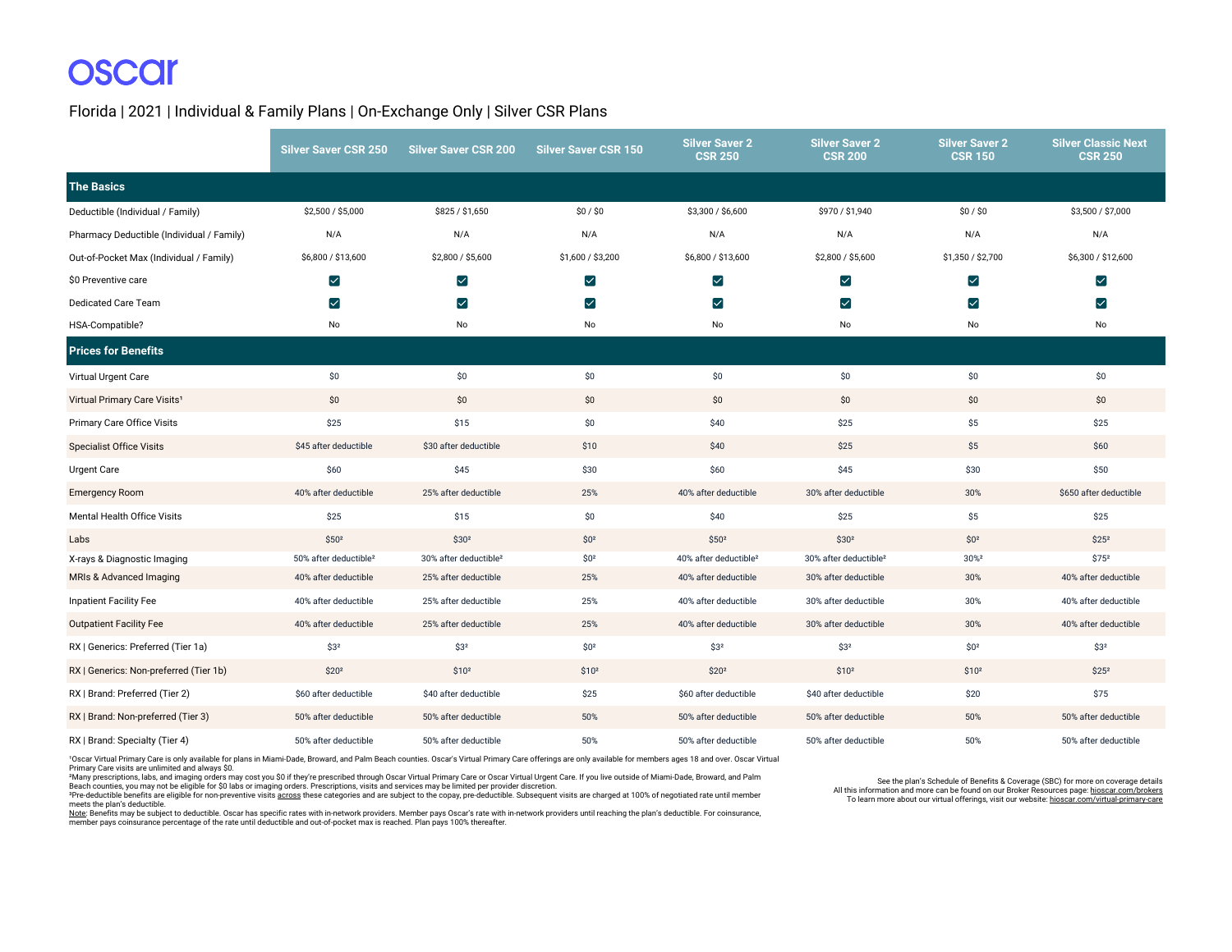Florida | 2021 | Individual & Family Plans | On-Exchange Only | Silver CSR Plans

|                                           | <b>Silver Saver CSR 250</b>       | <b>Silver Saver CSR 200</b>       | <b>Silver Saver CSR 150</b> | <b>Silver Saver 2</b><br><b>CSR 250</b> | <b>Silver Saver 2</b><br><b>CSR 200</b>     | <b>Silver Saver 2</b><br><b>CSR 150</b> | <b>Silver Classic Next</b><br><b>CSR 250</b> |
|-------------------------------------------|-----------------------------------|-----------------------------------|-----------------------------|-----------------------------------------|---------------------------------------------|-----------------------------------------|----------------------------------------------|
| <b>The Basics</b>                         |                                   |                                   |                             |                                         |                                             |                                         |                                              |
| Deductible (Individual / Family)          | \$2,500 / \$5,000                 | \$825 / \$1,650                   | \$0/\$0                     | \$3,300 / \$6,600                       | \$970 / \$1,940                             | \$0/\$0                                 | \$3,500 / \$7,000                            |
| Pharmacy Deductible (Individual / Family) | N/A                               | N/A                               | N/A                         | N/A                                     | N/A                                         | N/A                                     | N/A                                          |
| Out-of-Pocket Max (Individual / Family)   | \$6,800 / \$13,600                | \$2,800 / \$5,600                 | \$1,600 / \$3,200           | \$6,800 / \$13,600                      | \$2,800 / \$5,600                           | \$1,350 / \$2,700                       | \$6,300 / \$12,600                           |
| \$0 Preventive care                       | $\blacktriangledown$              | ☑                                 | $\blacktriangleright$       | $\blacktriangledown$                    | ☑                                           | $\blacktriangledown$                    | $\blacktriangledown$                         |
| Dedicated Care Team                       | ☑                                 | ☑                                 | ☑                           | ☑                                       | $\vert\mathcal{\mathcal{\mathcal{L}}}\vert$ | ☑                                       | $\blacktriangledown$                         |
| HSA-Compatible?                           | No                                | No                                | No                          | No                                      | No                                          | No                                      | No                                           |
| <b>Prices for Benefits</b>                |                                   |                                   |                             |                                         |                                             |                                         |                                              |
| Virtual Urgent Care                       | \$0                               | \$0                               | \$0                         | \$0                                     | \$0                                         | \$0                                     | \$0                                          |
| Virtual Primary Care Visits <sup>1</sup>  | \$0                               | \$0                               | \$0                         | \$0                                     | \$0                                         | \$0                                     | \$0                                          |
| Primary Care Office Visits                | \$25                              | \$15                              | \$0                         | \$40                                    | \$25                                        | \$5                                     | \$25                                         |
| <b>Specialist Office Visits</b>           | \$45 after deductible             | \$30 after deductible             | \$10                        | \$40                                    | \$25                                        | \$5                                     | \$60                                         |
| Urgent Care                               | \$60                              | \$45                              | \$30                        | \$60                                    | \$45                                        | \$30                                    | \$50                                         |
| <b>Emergency Room</b>                     | 40% after deductible              | 25% after deductible              | 25%                         | 40% after deductible                    | 30% after deductible                        | 30%                                     | \$650 after deductible                       |
| Mental Health Office Visits               | \$25                              | \$15                              | \$0                         | \$40                                    | \$25                                        | \$5                                     | \$25                                         |
| Labs                                      | \$50 <sup>2</sup>                 | \$30 <sup>2</sup>                 | \$0 <sup>2</sup>            | \$50 <sup>2</sup>                       | \$30 <sup>2</sup>                           | \$0 <sup>2</sup>                        | \$25 <sup>2</sup>                            |
| X-rays & Diagnostic Imaging               | 50% after deductible <sup>2</sup> | 30% after deductible <sup>2</sup> | \$0 <sup>2</sup>            | 40% after deductible <sup>2</sup>       | 30% after deductible <sup>2</sup>           | 30% <sup>2</sup>                        | $$75^2$                                      |
| MRIs & Advanced Imaging                   | 40% after deductible              | 25% after deductible              | 25%                         | 40% after deductible                    | 30% after deductible                        | 30%                                     | 40% after deductible                         |
| <b>Inpatient Facility Fee</b>             | 40% after deductible              | 25% after deductible              | 25%                         | 40% after deductible                    | 30% after deductible                        | 30%                                     | 40% after deductible                         |
| <b>Outpatient Facility Fee</b>            | 40% after deductible              | 25% after deductible              | 25%                         | 40% after deductible                    | 30% after deductible                        | 30%                                     | 40% after deductible                         |
| RX   Generics: Preferred (Tier 1a)        | \$3 <sup>2</sup>                  | \$3 <sup>2</sup>                  | \$0 <sup>2</sup>            | \$3 <sup>2</sup>                        | \$3 <sup>2</sup>                            | \$0 <sup>2</sup>                        | \$32                                         |
| RX   Generics: Non-preferred (Tier 1b)    | \$20 <sup>2</sup>                 | \$10 <sup>2</sup>                 | \$10 <sup>2</sup>           | \$20 <sup>2</sup>                       | \$10 <sup>2</sup>                           | \$10 <sup>2</sup>                       | \$25 <sup>2</sup>                            |
| RX   Brand: Preferred (Tier 2)            | \$60 after deductible             | \$40 after deductible             | \$25                        | \$60 after deductible                   | \$40 after deductible                       | \$20                                    | \$75                                         |
| RX   Brand: Non-preferred (Tier 3)        | 50% after deductible              | 50% after deductible              | 50%                         | 50% after deductible                    | 50% after deductible                        | 50%                                     | 50% after deductible                         |
| RX   Brand: Specialty (Tier 4)            | 50% after deductible              | 50% after deductible              | 50%                         | 50% after deductible                    | 50% after deductible                        | 50%                                     | 50% after deductible                         |

1Oscar Virtual Primary Care is only available for plans in Miami-Dade, Broward, and Palm Beach counties. Oscar's Virtual Primary Care offerings are only available for members ages 18 and over. Oscar Virtual Primary Care visits are unlimited and always \$0.

²Many prescriptions, labs, and imaging orders may cost you \$0 if they're prescribed through Oscar Virtual Primary Care or Oscar Virtual Urgent Care. If you live outside of Miami-Dade, Broward, and Palm Beach counties, you may not be eligible for \$0 labs or imaging orders. Prescriptions, visits and services may be limited per provider discretion.

<sup>3</sup>Pre-deductible benefits are eligible for non-preventive visits across these categories and are subject to the copay, pre-deductible. Subsequent visits are charged at 100% of negotiated rate until member meets the plan's deductible.

<u>Note</u>: Benefits may be subject to deductible. Oscar has specific rates with in-network providers. Member pays Oscar's rate with in-network providers until reaching the plan's deductible. For coinsurance,<br>member pays coins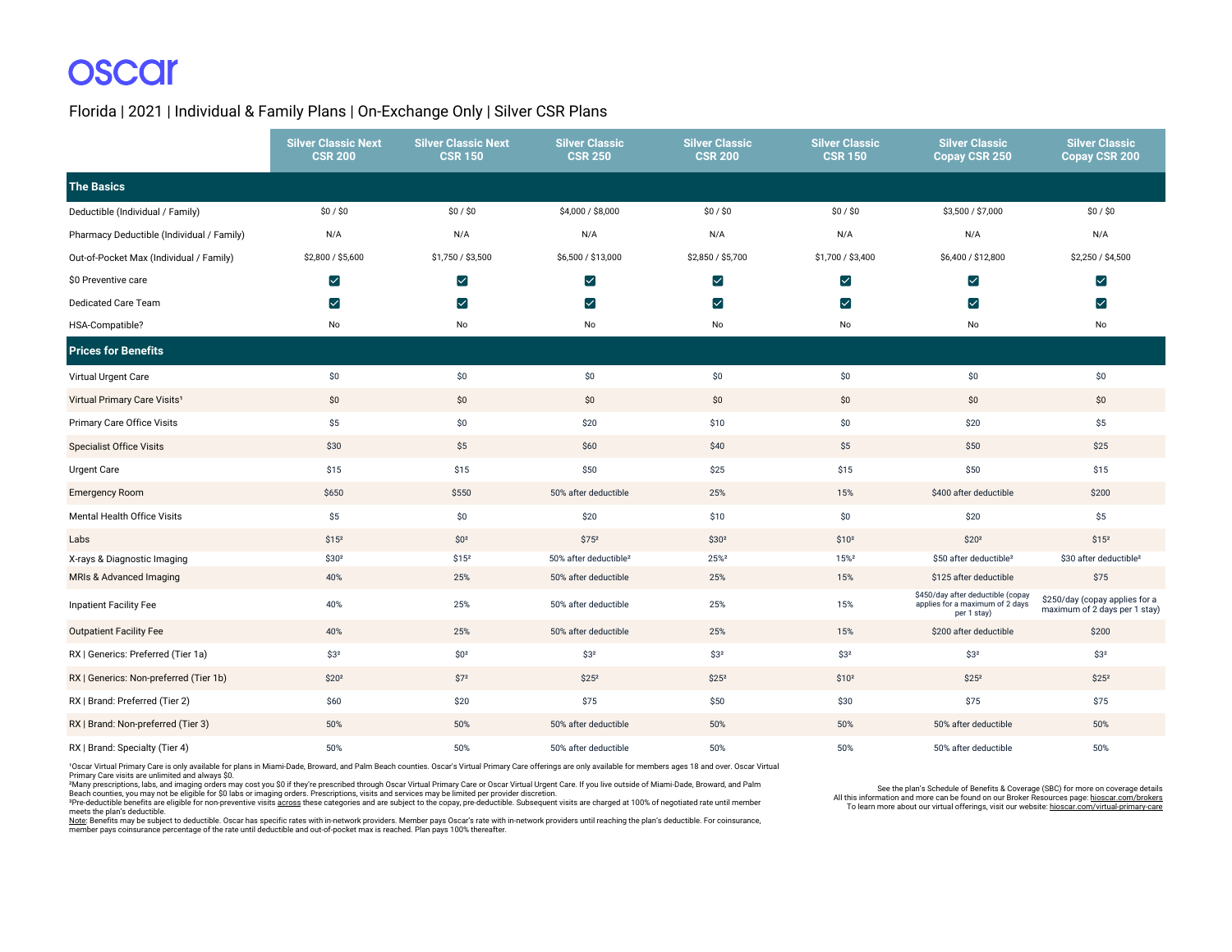Florida | 2021 | Individual & Family Plans | On-Exchange Only | Silver CSR Plans

|                                           | <b>Silver Classic Next</b><br><b>CSR 200</b> | <b>Silver Classic Next</b><br><b>CSR 150</b> | <b>Silver Classic</b><br><b>CSR 250</b> | <b>Silver Classic</b><br><b>CSR 200</b> | <b>Silver Classic</b><br><b>CSR 150</b> | <b>Silver Classic</b><br>Copay CSR 250                                              | <b>Silver Classic</b><br>Copay CSR 200                          |
|-------------------------------------------|----------------------------------------------|----------------------------------------------|-----------------------------------------|-----------------------------------------|-----------------------------------------|-------------------------------------------------------------------------------------|-----------------------------------------------------------------|
| <b>The Basics</b>                         |                                              |                                              |                                         |                                         |                                         |                                                                                     |                                                                 |
| Deductible (Individual / Family)          | \$0/\$0                                      | \$0/\$0                                      | \$4,000 / \$8,000                       | \$0/\$0                                 | \$0/\$0                                 | \$3,500 / \$7,000                                                                   | \$0/\$0                                                         |
| Pharmacy Deductible (Individual / Family) | N/A                                          | N/A                                          | N/A                                     | N/A                                     | N/A                                     | N/A                                                                                 | N/A                                                             |
| Out-of-Pocket Max (Individual / Family)   | \$2,800 / \$5,600                            | \$1,750 / \$3,500                            | \$6,500 / \$13,000                      | \$2,850 / \$5,700                       | \$1,700 / \$3,400                       | \$6,400 / \$12,800                                                                  | \$2,250 / \$4,500                                               |
| \$0 Preventive care                       | $\blacktriangledown$                         | $\blacktriangledown$                         | ☑                                       | $\blacktriangledown$                    | M                                       | ☑                                                                                   | $\blacktriangledown$                                            |
| <b>Dedicated Care Team</b>                | $\blacktriangledown$                         | ☑                                            | $\blacktriangledown$                    | $\blacktriangledown$                    | M                                       | $\blacktriangledown$                                                                | $\blacktriangledown$                                            |
| HSA-Compatible?                           | No                                           | No                                           | No                                      | No                                      | No                                      | No                                                                                  | No                                                              |
| <b>Prices for Benefits</b>                |                                              |                                              |                                         |                                         |                                         |                                                                                     |                                                                 |
| Virtual Urgent Care                       | \$0                                          | \$0                                          | \$0                                     | \$0                                     | \$0                                     | \$0                                                                                 | \$0                                                             |
| Virtual Primary Care Visits <sup>1</sup>  | \$0                                          | \$0                                          | \$0                                     | \$0                                     | \$0                                     | \$0                                                                                 | \$0                                                             |
| Primary Care Office Visits                | \$5                                          | \$0                                          | \$20                                    | \$10                                    | \$0                                     | \$20                                                                                | \$5                                                             |
| <b>Specialist Office Visits</b>           | \$30                                         | \$5                                          | \$60                                    | \$40                                    | \$5                                     | \$50                                                                                | \$25                                                            |
| <b>Urgent Care</b>                        | \$15                                         | \$15                                         | \$50                                    | \$25                                    | \$15                                    | \$50                                                                                | \$15                                                            |
| <b>Emergency Room</b>                     | \$650                                        | \$550                                        | 50% after deductible                    | 25%                                     | 15%                                     | \$400 after deductible                                                              | \$200                                                           |
| Mental Health Office Visits               | \$5                                          | \$0                                          | \$20                                    | \$10                                    | \$0                                     | \$20                                                                                | \$5                                                             |
| Labs                                      | \$15 <sup>2</sup>                            | \$0 <sup>2</sup>                             | $$75^2$                                 | \$30 <sup>2</sup>                       | \$10 <sup>2</sup>                       | \$20 <sup>2</sup>                                                                   | \$15 <sup>2</sup>                                               |
| X-rays & Diagnostic Imaging               | \$30 <sup>2</sup>                            | \$15 <sup>2</sup>                            | 50% after deductible <sup>2</sup>       | 25% <sup>2</sup>                        | 15% <sup>2</sup>                        | \$50 after deductible <sup>2</sup>                                                  | \$30 after deductible <sup>2</sup>                              |
| MRIs & Advanced Imaging                   | 40%                                          | 25%                                          | 50% after deductible                    | 25%                                     | 15%                                     | \$125 after deductible                                                              | \$75                                                            |
| Inpatient Facility Fee                    | 40%                                          | 25%                                          | 50% after deductible                    | 25%                                     | 15%                                     | \$450/day after deductible (copay<br>applies for a maximum of 2 days<br>per 1 stay) | \$250/day (copay applies for a<br>maximum of 2 days per 1 stay) |
| <b>Outpatient Facility Fee</b>            | 40%                                          | 25%                                          | 50% after deductible                    | 25%                                     | 15%                                     | \$200 after deductible                                                              | \$200                                                           |
| RX   Generics: Preferred (Tier 1a)        | \$3 <sup>2</sup>                             | \$0 <sup>2</sup>                             | \$3 <sup>2</sup>                        | \$3 <sup>2</sup>                        | \$3 <sup>2</sup>                        | \$3 <sup>2</sup>                                                                    | \$3 <sup>2</sup>                                                |
| RX   Generics: Non-preferred (Tier 1b)    | \$20 <sup>2</sup>                            | \$72                                         | \$25 <sup>2</sup>                       | \$25 <sup>2</sup>                       | \$10 <sup>2</sup>                       | \$25 <sup>2</sup>                                                                   | \$25 <sup>2</sup>                                               |
| RX   Brand: Preferred (Tier 2)            | \$60                                         | \$20                                         | \$75                                    | \$50                                    | \$30                                    | \$75                                                                                | \$75                                                            |
| RX   Brand: Non-preferred (Tier 3)        | 50%                                          | 50%                                          | 50% after deductible                    | 50%                                     | 50%                                     | 50% after deductible                                                                | 50%                                                             |
| RX   Brand: Specialty (Tier 4)            | 50%                                          | 50%                                          | 50% after deductible                    | 50%                                     | 50%                                     | 50% after deductible                                                                | 50%                                                             |

1Oscar Virtual Primary Care is only available for plans in Miami-Dade, Broward, and Palm Beach counties. Oscar's Virtual Primary Care offerings are only available for members ages 18 and over. Oscar Virtual

Primary Care visits are unlimited and always \$0.<br>\*Many prescriptions, labs, and imaging orders may cost you \$0 if they're prescribed through Oscar Virtual Primary Care or Oscar Virtual Urgent Care. If you live outside of M

<sup>3</sup>Pre-deductible benefits are eligible for non-preventive visits across these categories and are subject to the copay, pre-deductible. Subsequent visits are charged at 100% of negotiated rate until member meets the plan's deductible.

<u>Note</u>: Benefits may be subject to deductible. Oscar has specific rates with in-network providers. Member pays Oscar's rate with in-network providers until reaching the plan's deductible. For coinsurance,<br>member pays coins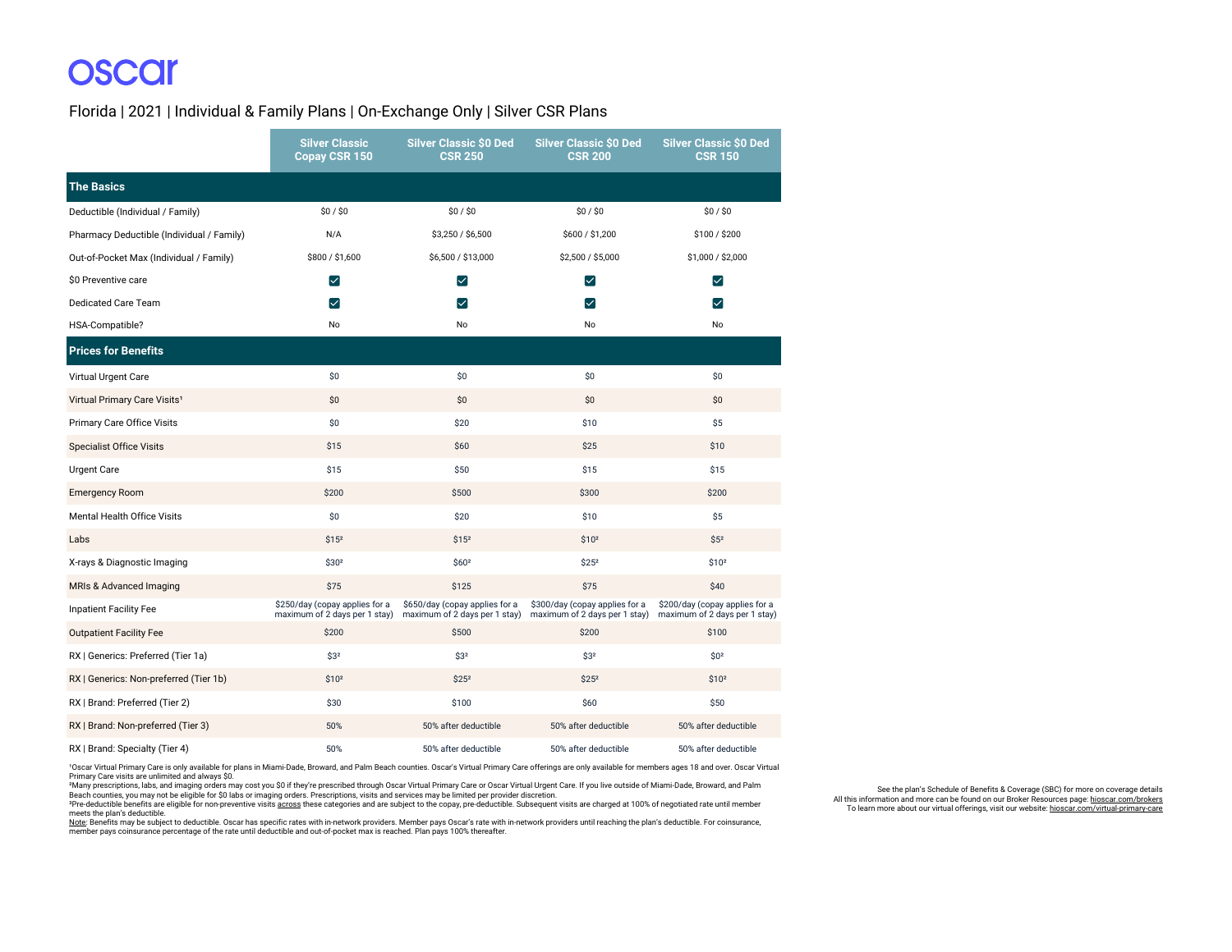# **OSCCI**

Florida | 2021 | Individual & Family Plans | On-Exchange Only | Silver CSR Plans

|                                           | <b>Silver Classic</b><br>Copay CSR 150                          | <b>Silver Classic \$0 Ded</b><br><b>CSR 250</b>                 | <b>Silver Classic \$0 Ded</b><br><b>CSR 200</b>                 | <b>Silver Classic \$0 Ded</b><br><b>CSR 150</b>                 |
|-------------------------------------------|-----------------------------------------------------------------|-----------------------------------------------------------------|-----------------------------------------------------------------|-----------------------------------------------------------------|
| <b>The Basics</b>                         |                                                                 |                                                                 |                                                                 |                                                                 |
| Deductible (Individual / Family)          | \$0/\$0                                                         | \$0/\$0                                                         | \$0/\$0                                                         | \$0/\$0                                                         |
| Pharmacy Deductible (Individual / Family) | N/A                                                             | \$3,250 / \$6,500                                               | \$600 / \$1,200                                                 | \$100 / \$200                                                   |
| Out-of-Pocket Max (Individual / Family)   | \$800 / \$1,600                                                 | \$6,500 / \$13,000                                              | \$2,500 / \$5,000                                               | \$1,000 / \$2,000                                               |
| \$0 Preventive care                       | $\vert\mathcal{\mathcal{\mathcal{L}}}\vert$                     | $\blacktriangledown$                                            | ☑                                                               | $\vert\mathcal{\mathcal{\mathcal{L}}}\vert$                     |
| <b>Dedicated Care Team</b>                | $\vert \checkmark \vert$                                        | ☑                                                               | ☑                                                               | ∨                                                               |
| HSA-Compatible?                           | No                                                              | No                                                              | No                                                              | No                                                              |
| <b>Prices for Benefits</b>                |                                                                 |                                                                 |                                                                 |                                                                 |
| Virtual Urgent Care                       | \$0                                                             | \$0                                                             | \$0                                                             | \$0                                                             |
| Virtual Primary Care Visits <sup>1</sup>  | \$0                                                             | \$0                                                             | \$0                                                             | \$0                                                             |
| Primary Care Office Visits                | \$0                                                             | \$20                                                            | \$10                                                            | \$5                                                             |
| <b>Specialist Office Visits</b>           | \$15                                                            | \$60                                                            | \$25                                                            | \$10                                                            |
| <b>Urgent Care</b>                        | \$15                                                            | \$50                                                            | \$15                                                            | \$15                                                            |
| <b>Emergency Room</b>                     | \$200                                                           | \$500                                                           | \$300                                                           | \$200                                                           |
| <b>Mental Health Office Visits</b>        | \$0                                                             | \$20                                                            | \$10                                                            | \$5                                                             |
| Labs                                      | \$15 <sup>2</sup>                                               | \$15 <sup>2</sup>                                               | \$10 <sup>2</sup>                                               | \$5 <sup>2</sup>                                                |
| X-rays & Diagnostic Imaging               | \$302                                                           | \$602                                                           | \$252                                                           | \$102                                                           |
| MRIs & Advanced Imaging                   | \$75                                                            | \$125                                                           | \$75                                                            | \$40                                                            |
| <b>Inpatient Facility Fee</b>             | \$250/day (copay applies for a<br>maximum of 2 days per 1 stay) | \$650/day (copay applies for a<br>maximum of 2 days per 1 stay) | \$300/day (copay applies for a<br>maximum of 2 days per 1 stay) | \$200/day (copay applies for a<br>maximum of 2 days per 1 stay) |
| <b>Outpatient Facility Fee</b>            | \$200                                                           | \$500                                                           | \$200                                                           | \$100                                                           |
| RX   Generics: Preferred (Tier 1a)        | \$3 <sup>2</sup>                                                | \$3 <sup>2</sup>                                                | \$3 <sup>2</sup>                                                | \$0 <sup>2</sup>                                                |
| RX   Generics: Non-preferred (Tier 1b)    | \$10 <sup>2</sup>                                               | \$25 <sup>2</sup>                                               | \$25 <sup>2</sup>                                               | \$10 <sup>2</sup>                                               |
| RX   Brand: Preferred (Tier 2)            | \$30                                                            | \$100                                                           | \$60                                                            | \$50                                                            |
| RX   Brand: Non-preferred (Tier 3)        | 50%                                                             | 50% after deductible                                            | 50% after deductible                                            | 50% after deductible                                            |
| RX   Brand: Specialty (Tier 4)            | 50%                                                             | 50% after deductible                                            | 50% after deductible                                            | 50% after deductible                                            |

1Oscar Virtual Primary Care is only available for plans in Miami-Dade, Broward, and Palm Beach counties. Oscar's Virtual Primary Care offerings are only available for members ages 18 and over. Oscar Virtual Primary Care visits are unlimited and always \$0.

\*Many prescriptions, labs, and imaging orders may cost you S0 if they're prescribed through Oscar Virtual Primary Care or Oscar Virtual Urgent Care. If you live outside of Miami-Dade, Broward, and Palm<br>Beach counties, you

meets the plan's deductible.

<u>Note</u>: Benefits may be subject to deductible. Oscar has specific rates with in-network providers. Member pays Oscar's rate with in-network providers until reaching the plan's deductible. For coinsurance,<br>member pays coins